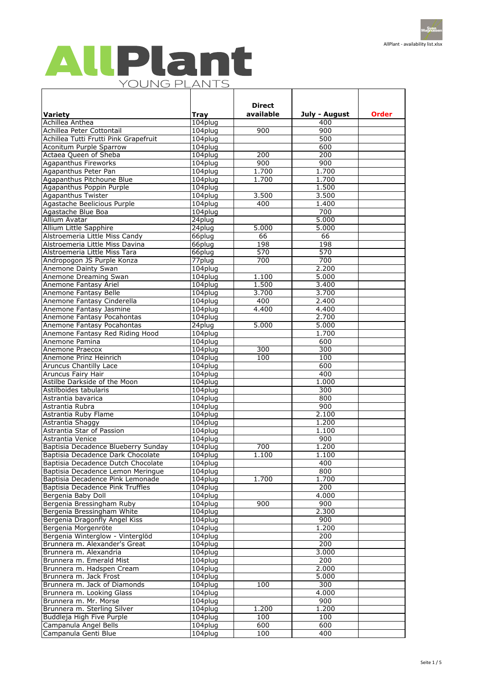## AllPlant YOUNG PLANTS  $\mathsf{r}$

|                                                       |                    | <b>Direct</b>           |                  |              |
|-------------------------------------------------------|--------------------|-------------------------|------------------|--------------|
| <b>Variety</b>                                        | <b>Tray</b>        | available               | July - August    | <b>Order</b> |
| Achillea Anthea                                       | 104plug            |                         | 400              |              |
| Achillea Peter Cottontail                             | 104plug            | 900                     | $\overline{900}$ |              |
| Achillea Tutti Frutti Pink Grapefruit                 | 104plug            |                         | 500              |              |
| Aconitum Purple Sparrow                               | 104plug            |                         | 600              |              |
| Actaea Queen of Sheba                                 | 104plug            | $\overline{200}$        | $\overline{200}$ |              |
| <b>Agapanthus Fireworks</b>                           | 104plug            | $\overline{900}$        | 900              |              |
| Agapanthus Peter Pan                                  | 104plug            | 1.700                   | 1.700            |              |
| Agapanthus Pitchoune Blue                             | 104plug            | 1.700                   | 1.700<br>1.500   |              |
| Agapanthus Poppin Purple<br><b>Agapanthus Twister</b> | 104plug<br>104plug | 3.500                   | 3.500            |              |
| Agastache Beelicious Purple                           | $104$ plug         | 400                     | 1.400            |              |
| Agastache Blue Boa                                    | 104plug            |                         | 700              |              |
| Allium Avatar                                         | 24plug             |                         | 5.000            |              |
| Allium Little Sapphire                                | 24plug             | 5.000                   | 5.000            |              |
| Alstroemeria Little Miss Candy                        | 66plug             | 66                      | 66               |              |
| Alstroemeria Little Miss Davina                       | 66plug             | 198                     | 198              |              |
| Alstroemeria Little Miss Tara                         | 66plug             | 570                     | $\overline{570}$ |              |
| Andropogon JS Purple Konza                            | 77plug             | 700                     | 700              |              |
| Anemone Dainty Swan                                   | 104plug            |                         | 2.200            |              |
| Anemone Dreaming Swan                                 | 104plug            | 1.100                   | 5.000            |              |
| Anemone Fantasy Ariel                                 | 104plug            | 1.500                   | 3.400            |              |
| Anemone Fantasy Belle                                 | 104plug            | 3.700                   | 3.700            |              |
| Anemone Fantasy Cinderella                            | 104plug            | 400                     | 2.400            |              |
| Anemone Fantasy Jasmine                               | 104plug            | 4.400                   | 4.400            |              |
| Anemone Fantasy Pocahontas                            | 104plug            |                         | 2.700            |              |
| Anemone Fantasy Pocahontas                            | 24plug             | 5.000                   | 5.000            |              |
| Anemone Fantasy Red Riding Hood                       | 104plug            |                         | 1.700            |              |
| Anemone Pamina                                        | 104plug            |                         | 600              |              |
| Anemone Praecox<br>Anemone Prinz Heinrich             | 104plug<br>104plug | $\overline{300}$<br>100 | 300<br>100       |              |
| <b>Aruncus Chantilly Lace</b>                         | 104plug            |                         | 600              |              |
| <b>Aruncus Fairy Hair</b>                             | 104plug            |                         | 400              |              |
| Astilbe Darkside of the Moon                          | $104$ plug         |                         | 1.000            |              |
| Astilboides tabularis                                 | 104plug            |                         | 300              |              |
| Astrantia bavarica                                    | 104plug            |                         | 800              |              |
| Astrantia Rubra                                       | 104plug            |                         | 900              |              |
| Astrantia Ruby Flame                                  | 104plug            |                         | 2.100            |              |
| Astrantia Shaggy                                      | 104plug            |                         | 1.200            |              |
| Astrantia Star of Passion                             | 104plug            |                         | 1.100            |              |
| Astrantia Venice                                      | 104plug            |                         | 900              |              |
| Baptisia Decadence Blueberry Sunday                   | 104plug            | 700                     | 1.200            |              |
| Baptisia Decadence Dark Chocolate                     | 104plug            | 1.100                   | 1.100            |              |
| Baptisia Decadence Dutch Chocolate                    | 104plug            |                         | 400              |              |
| Baptisia Decadence Lemon Meringue                     | 104plug            |                         | 800              |              |
| Baptisia Decadence Pink Lemonade                      | 104plug            | 1.700                   | 1.700            |              |
| Baptisia Decadence Pink Truffles                      | 104plug            |                         | 200              |              |
| Bergenia Baby Doll<br>Bergenia Bressingham Ruby       | 104plug<br>104plug | 900                     | 4.000<br>900     |              |
| Bergenia Bressingham White                            | 104plug            |                         | 2.300            |              |
| Bergenia Dragonfly Angel Kiss                         | 104plug            |                         | 900              |              |
| Bergenia Morgenröte                                   | 104plug            |                         | 1.200            |              |
| Bergenia Winterglow - Vinterglöd                      | 104plug            |                         | 200              |              |
| Brunnera m. Alexander's Great                         | 104plug            |                         | $\overline{200}$ |              |
| Brunnera m. Alexandria                                | 104plug            |                         | 3.000            |              |
| Brunnera m. Emerald Mist                              | 104plug            |                         | $\overline{200}$ |              |
| Brunnera m. Hadspen Cream                             | 104plug            |                         | 2.000            |              |
| Brunnera m. Jack Frost                                | 104plug            |                         | 5.000            |              |
| Brunnera m. Jack of Diamonds                          | $104$ plug         | 100                     | 300              |              |
| Brunnera m. Looking Glass                             | 104plug            |                         | 4.000            |              |
| Brunnera m. Mr. Morse                                 | 104plug            |                         | 900              |              |
| Brunnera m. Sterling Silver                           | $104$ plug         | 1.200                   | 1.200            |              |
| Buddleja High Five Purple                             | 104plug            | 100                     | 100              |              |
| Campanula Angel Bells                                 | 104plug            | 600                     | 600              |              |
| Campanula Genti Blue                                  | 104plug            | 100                     | 400              |              |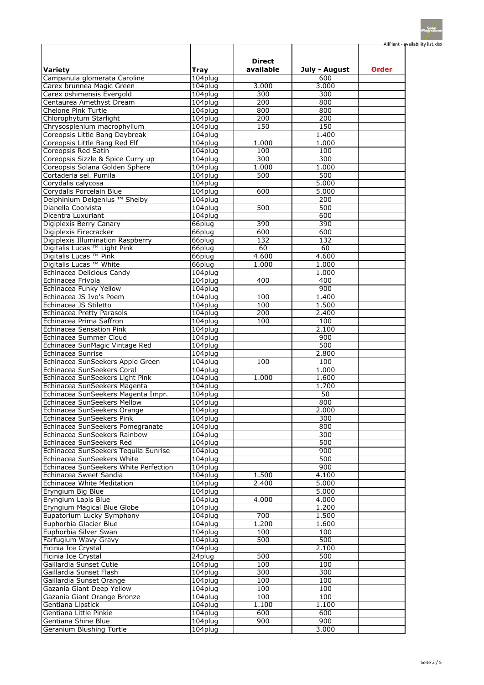|                                                                 |                       |                         |               | AllPlant - availability list.xlsx |
|-----------------------------------------------------------------|-----------------------|-------------------------|---------------|-----------------------------------|
|                                                                 |                       |                         |               |                                   |
|                                                                 |                       | <b>Direct</b>           |               |                                   |
| <b>Variety</b>                                                  | <b>Tray</b>           | available               | July - August | <b>Order</b>                      |
| Campanula glomerata Caroline                                    | 104plug               |                         | 600           |                                   |
| Carex brunnea Magic Green                                       | 104plug               | 3.000                   | 3.000         |                                   |
| Carex oshimensis Evergold                                       | 104plug               | 300                     | 300           |                                   |
| Centaurea Amethyst Dream                                        | 104plug               | 200                     | 800           |                                   |
| Chelone Pink Turtle                                             | 104plug               | 800<br>$\overline{200}$ | 800<br>200    |                                   |
| Chlorophytum Starlight<br>Chrysosplenium macrophyllum           | 104plug<br>104plug    | 150                     | 150           |                                   |
| Coreopsis Little Bang Daybreak                                  | 104plug               |                         | 1.400         |                                   |
| Coreopsis Little Bang Red Elf                                   | 104plug               | 1.000                   | 1.000         |                                   |
| Coreopsis Red Satin                                             | 104plug               | 100                     | 100           |                                   |
| Coreopsis Sizzle & Spice Curry up                               | 104plug               | 300                     | 300           |                                   |
| Coreopsis Solana Golden Sphere                                  | 104plug               | 1.000                   | 1.000         |                                   |
| Cortaderia sel. Pumila                                          | 104plug               | 500                     | 500           |                                   |
| Corydalis calycosa                                              | 104plug               |                         | 5.000         |                                   |
| Corydalis Porcelain Blue                                        | 104plug               | 600                     | 5.000         |                                   |
| Delphinium Delgenius ™ Shelby                                   | 104plug               |                         | 200           |                                   |
| Dianella Coolvista                                              | 104plug               | 500                     | 500           |                                   |
| Dicentra Luxuriant                                              | 104plug               |                         | 600           |                                   |
| Digiplexis Berry Canary                                         | 66plug                | 390<br>600              | 390<br>600    |                                   |
| Digiplexis Firecracker<br>Digiplexis Illumination Raspberry     | 66plug<br>66plug      | 132                     | 132           |                                   |
| Digitalis Lucas ™ Light Pink                                    | 66plug                | 60                      | 60            |                                   |
| Digitalis Lucas ™ Pink                                          | 66plug                | 4.600                   | 4.600         |                                   |
| Digitalis Lucas <sup>™</sup> White                              | 66plug                | 1.000                   | 1.000         |                                   |
| Echinacea Delicious Candy                                       | 104plug               |                         | 1.000         |                                   |
| Echinacea Frivola                                               | 104plug               | 400                     | 400           |                                   |
| Echinacea Funky Yellow                                          | 104plug               |                         | 900           |                                   |
| Echinacea JS Ivo's Poem                                         | 104plug               | 100                     | 1.400         |                                   |
| Echinacea JS Stiletto                                           | 104plug               | 100                     | 1.500         |                                   |
| Echinacea Pretty Parasols                                       | 104plug               | 200                     | 2.400         |                                   |
| Echinacea Prima Saffron                                         | 104plug               | 100                     | 100           |                                   |
| Echinacea Sensation Pink                                        | 104plug               |                         | 2.100         |                                   |
| Echinacea Summer Cloud                                          | 104plug               |                         | 900           |                                   |
| Echinacea SunMagic Vintage Red<br>Echinacea Sunrise             | 104plug<br>104plug    |                         | 500<br>2.800  |                                   |
| Echinacea SunSeekers Apple Green                                | 104plug               | 100                     | 100           |                                   |
| Echinacea SunSeekers Coral                                      | 104plug               |                         | 1.000         |                                   |
| Echinacea SunSeekers Light Pink                                 | 104plug               | 1.000                   | 1.600         |                                   |
| Echinacea SunSeekers Magenta                                    | 104plug               |                         | 1.700         |                                   |
| Echinacea SunSeekers Magenta Impr.                              | 104plug               |                         | 50            |                                   |
| Echinacea SunSeekers Mellow                                     | 104plug               |                         | 800           |                                   |
| Echinacea SunSeekers Orange                                     | 104plug               |                         | 2.000         |                                   |
| Echinacea SunSeekers Pink                                       | 104plug               |                         | 300           |                                   |
| Echinacea SunSeekers Pomegranate                                | 104plug               |                         | 800           |                                   |
| Echinacea SunSeekers Rainbow                                    | 104plug               |                         | 300           |                                   |
| Echinacea SunSeekers Red                                        | 104plug               |                         | 500           |                                   |
| Echinacea SunSeekers Tequila Sunrise                            | 104plug               |                         | 900           |                                   |
| Echinacea SunSeekers White                                      | 104plug               |                         | 500<br>900    |                                   |
| Echinacea SunSeekers White Perfection<br>Echinacea Sweet Sandia | $104$ plug<br>104plug | 1.500                   | 4.100         |                                   |
| Echinacea White Meditation                                      | 104plug               | 2.400                   | 5.000         |                                   |
| Eryngium Big Blue                                               | 104plug               |                         | 5.000         |                                   |
| Eryngium Lapis Blue                                             | 104plug               | 4.000                   | 4.000         |                                   |
| Eryngium Magical Blue Globe                                     | $104$ plug            |                         | 1.200         |                                   |
| Eupatorium Lucky Symphony                                       | 104plug               | 700                     | 1.500         |                                   |
| Euphorbia Glacier Blue                                          | 104plug               | 1.200                   | 1.600         |                                   |
| Euphorbia Silver Swan                                           | 104plug               | 100                     | 100           |                                   |
| Farfugium Wavy Gravy                                            | 104plug               | 500                     | 500           |                                   |
| Ficinia Ice Crystal                                             | 104plug               |                         | 2.100         |                                   |
| Ficinia Ice Crystal                                             | 24plug                | 500                     | 500           |                                   |
| Gaillardia Sunset Cutie                                         | 104plug               | 100                     | 100           |                                   |
| Gaillardia Sunset Flash                                         | 104plug               | 300                     | 300           |                                   |
| Gaillardia Sunset Orange<br>Gazania Giant Deep Yellow           | 104plug<br>104plug    | 100<br>100              | 100<br>100    |                                   |
| Gazania Giant Orange Bronze                                     | 104plug               | 100                     | 100           |                                   |
| Gentiana Lipstick                                               | $104$ plug            | 1.100                   | 1.100         |                                   |
| Gentiana Little Pinkie                                          | 104plug               | 600                     | 600           |                                   |
| Gentiana Shine Blue                                             | 104plug               | 900                     | 900           |                                   |
| <b>Geranium Blushing Turtle</b>                                 | 104plug               |                         | 3.000         |                                   |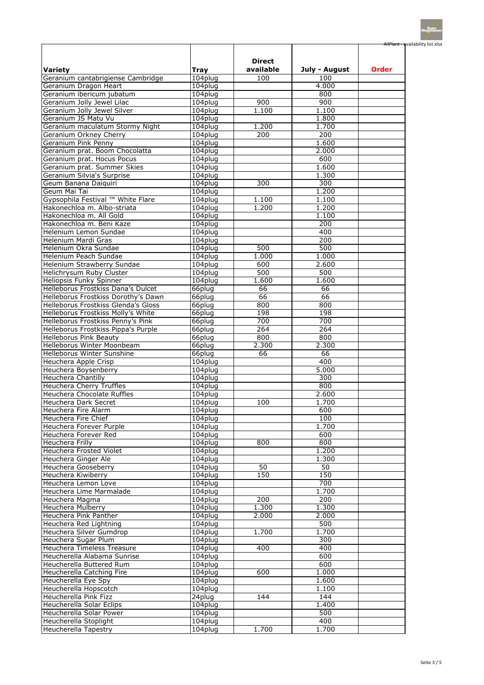|                                                                            |                     |                 |                  | AllPlant - availability list.xlsx |
|----------------------------------------------------------------------------|---------------------|-----------------|------------------|-----------------------------------|
|                                                                            |                     | <b>Direct</b>   |                  |                                   |
| <b>Variety</b>                                                             | <b>Tray</b>         | available       | July - August    | <b>Order</b>                      |
| Geranium cantabrigiense Cambridge                                          | 104plug             | 100             | 100              |                                   |
| Geranium Dragon Heart                                                      | 104plug             |                 | 4.000            |                                   |
| Geranium ibericum jubatum<br>Geranium Jolly Jewel Lilac                    | 104plug<br>104plug  | 900             | 800<br>900       |                                   |
| Geranium Jolly Jewel Silver                                                | 104plug             | 1.100           | 1.100            |                                   |
| Geranium JS Matu Vu                                                        | 104plug             |                 | 1.800            |                                   |
| Geranium maculatum Stormy Night                                            | 104plug             | 1.200           | 1.700            |                                   |
| Geranium Orkney Cherry                                                     | 104plug             | 200             | 200              |                                   |
| Geranium Pink Penny                                                        | 104plug             |                 | 1.600            |                                   |
| Geranium prat. Boom Chocolatta                                             | 104plug             |                 | 2.000            |                                   |
| Geranium prat. Hocus Pocus                                                 | 104plug             |                 | 600              |                                   |
| Geranium prat. Summer Skies                                                | 104plug             |                 | 1.600            |                                   |
| Geranium Silvia's Surprise                                                 | 104plug             |                 | 1.300            |                                   |
| Geum Banana Daiquiri                                                       | 104plug             | 300             | 300              |                                   |
| Geum Mai Tai                                                               | 104plug             |                 | 1.200            |                                   |
| Gypsophila Festival ™ White Flare                                          | 104plug             | 1.100           | 1.100            |                                   |
| Hakonechloa m. Albo-striata                                                | 104plug             | 1.200           | 1.200            |                                   |
| Hakonechloa m. All Gold                                                    | 104plug             |                 | 1.100            |                                   |
| Hakonechloa m. Beni Kaze                                                   | 104plug             |                 | 200              |                                   |
| Helenium Lemon Sundae                                                      | 104plug             |                 | 400              |                                   |
| Helenium Mardi Gras                                                        | 104plug             |                 | $\overline{200}$ |                                   |
| Helenium Okra Sundae                                                       | 104plug             | 500             | 500              |                                   |
| Helenium Peach Sundae                                                      | 104plug             | 1.000           | 1.000            |                                   |
| Helenium Strawberry Sundae                                                 | 104plug             | 600             | 2.600            |                                   |
| Helichrysum Ruby Cluster                                                   | 104plug             | 500             | 500              |                                   |
| Heliopsis Funky Spinner                                                    | 104plug             | 1.600           | 1.600            |                                   |
| Helleborus Frostkiss Dana's Dulcet                                         | 66plug              | 66<br>66        | 66<br>66         |                                   |
| Helleborus Frostkiss Dorothy's Dawn<br>Helleborus Frostkiss Glenda's Gloss | 66plug<br>$66$ plug | 800             | 800              |                                   |
| Helleborus Frostkiss Molly's White                                         | 66plug              | 198             | 198              |                                   |
| Helleborus Frostkiss Penny's Pink                                          | 66plug              | 700             | 700              |                                   |
| Helleborus Frostkiss Pippa's Purple                                        | 66plug              | 264             | 264              |                                   |
| <b>Helleborus Pink Beauty</b>                                              | 66plug              | 800             | 800              |                                   |
| Helleborus Winter Moonbeam                                                 | 66plug              | 2.300           | 2.300            |                                   |
| <b>Helleborus Winter Sunshine</b>                                          | 66plug              | 66              | 66               |                                   |
| Heuchera Apple Crisp                                                       | 104plug             |                 | 400              |                                   |
| Heuchera Boysenberry                                                       | 104plug             |                 | 5.000            |                                   |
| Heuchera Chantilly                                                         | 104plug             |                 | 300              |                                   |
| <b>Heuchera Cherry Truffles</b>                                            | 104plug             |                 | 800              |                                   |
| Heuchera Chocolate Ruffles                                                 | 104plug             |                 | 2.600            |                                   |
| <b>Heuchera Dark Secret</b>                                                | 104plug             | 100             | 1.700            |                                   |
| <b>Heuchera Fire Alarm</b>                                                 | 104plug             |                 | 600              |                                   |
| <b>Heuchera Fire Chief</b>                                                 | 104plug             |                 | 100              |                                   |
| <b>Heuchera Forever Purple</b>                                             | 104plug             |                 | 1.700            |                                   |
| Heuchera Forever Red                                                       | 104plug             |                 | 600              |                                   |
| Heuchera Frilly                                                            | 104plug             | 800             | 800              |                                   |
| Heuchera Frosted Violet                                                    | 104plug             |                 | 1.200            |                                   |
| Heuchera Ginger Ale                                                        | 104plug             |                 | 1.300            |                                   |
| Heuchera Gooseberry                                                        | 104plug             | $\overline{50}$ | 50               |                                   |
| Heuchera Kiwiberry                                                         | 104plug             | 150             | 150              |                                   |
| Heuchera Lemon Love                                                        | 104plug             |                 | 700              |                                   |
| Heuchera Lime Marmalade                                                    | 104plug             |                 | 1.700            |                                   |
| Heuchera Magma<br><b>Heuchera Mulberry</b>                                 | 104plug             | 200<br>1.300    | 200<br>1.300     |                                   |
| <b>Heuchera Pink Panther</b>                                               | 104plug<br>104plug  | 2.000           | 2.000            |                                   |
| Heuchera Red Lightning                                                     | 104plug             |                 | 500              |                                   |
| <b>Heuchera Silver Gumdrop</b>                                             | 104plug             | 1.700           | 1.700            |                                   |
| Heuchera Sugar Plum                                                        | $104$ plug          |                 | 300              |                                   |
| <b>Heuchera Timeless Treasure</b>                                          | $104$ plug          | 400             | 400              |                                   |
| Heucherella Alabama Sunrise                                                | 104plug             |                 | 600              |                                   |
| Heucherella Buttered Rum                                                   | 104plug             |                 | 600              |                                   |
| Heucherella Catching Fire                                                  | 104plug             | 600             | 1.000            |                                   |
| Heucherella Eye Spy                                                        | 104plug             |                 | 1.600            |                                   |
| Heucherella Hopscotch                                                      | 104plug             |                 | 1.100            |                                   |
| <b>Heucherella Pink Fizz</b>                                               | 24plug              | 144             | 144              |                                   |
| Heucherella Solar Eclips                                                   | 104plug             |                 | 1.400            |                                   |
| <b>Heucherella Solar Power</b>                                             | 104plug             |                 | 500              |                                   |
| Heucherella Stoplight                                                      | 104plug             |                 | 400              |                                   |
| Heucherella Tapestry                                                       | 104plug             | 1.700           | 1.700            |                                   |
|                                                                            |                     |                 |                  |                                   |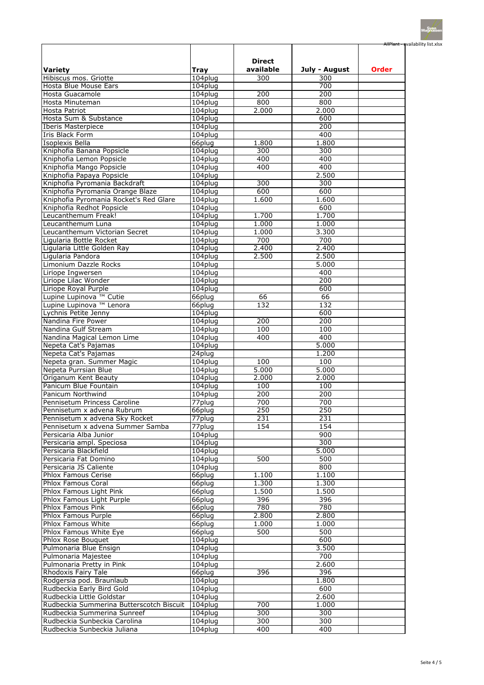|                                                             |                      |                  |                  | AllPlant - availability list.xlsx |
|-------------------------------------------------------------|----------------------|------------------|------------------|-----------------------------------|
|                                                             |                      |                  |                  |                                   |
|                                                             |                      | <b>Direct</b>    |                  |                                   |
| <b>Variety</b>                                              | <b>Tray</b>          | available        | July - August    | <b>Order</b>                      |
| Hibiscus mos. Griotte                                       | 104plug              | 300              | 300              |                                   |
| Hosta Blue Mouse Ears                                       | 104plug              |                  | 700              |                                   |
| Hosta Guacamole<br>Hosta Minuteman                          | 104plug<br>104plug   | 200<br>800       | 200<br>800       |                                   |
| Hosta Patriot                                               | 104plug              | 2.000            | 2.000            |                                   |
| Hosta Sum & Substance                                       | 104plug              |                  | 600              |                                   |
| Iberis Masterpiece                                          | 104plug              |                  | 200              |                                   |
| Iris Black Form                                             | 104plug              |                  | 400              |                                   |
| Isoplexis Bella                                             | 66plug               | 1.800            | 1.800            |                                   |
| Kniphofia Banana Popsicle                                   | 104plug              | 300              | 300              |                                   |
| Kniphofia Lemon Popsicle                                    | 104plug              | 400              | 400              |                                   |
| Kniphofia Mango Popsicle                                    | 104plug              | 400              | 400              |                                   |
| Kniphofia Papaya Popsicle                                   | 104plug              |                  | 2.500            |                                   |
| Kniphofia Pyromania Backdraft                               | 104plug              | 300              | 300              |                                   |
| Kniphofia Pyromania Orange Blaze                            | 104plug              | 600              | 600              |                                   |
| Kniphofia Pyromania Rocket's Red Glare                      | 104plug              | 1.600            | 1.600            |                                   |
| Kniphofia Redhot Popsicle                                   | 104plug              |                  | 600              |                                   |
| Leucanthemum Freak!                                         | 104plug              | 1.700            | 1.700            |                                   |
| Leucanthemum Luna<br>Leucanthemum Victorian Secret          | 104plug<br>104plug   | 1.000<br>1.000   | 1.000<br>3.300   |                                   |
| Ligularia Bottle Rocket                                     | 104plug              | 700              | 700              |                                   |
| Ligularia Little Golden Ray                                 | 104plug              | 2.400            | 2.400            |                                   |
| Ligularia Pandora                                           | 104plug              | 2.500            | 2.500            |                                   |
| Limonium Dazzle Rocks                                       | 104plug              |                  | 5.000            |                                   |
| Liriope Ingwersen                                           | 104plug              |                  | 400              |                                   |
| Liriope Lilac Wonder                                        | 104plug              |                  | 200              |                                   |
| Liriope Royal Purple                                        | 104plug              |                  | 600              |                                   |
| Lupine Lupinova <sup>™</sup> Cutie                          | 66plug               | 66               | 66               |                                   |
| Lupine Lupinova <sup>™</sup> Lenora                         | 66plug               | 132              | 132              |                                   |
| Lychnis Petite Jenny                                        | 104plug              |                  | 600              |                                   |
| Nandina Fire Power                                          | 104plug              | 200              | 200              |                                   |
| Nandina Gulf Stream                                         | 104plug              | 100              | 100              |                                   |
| Nandina Magical Lemon Lime                                  | 104plug              | 400              | 400              |                                   |
| Nepeta Cat's Pajamas                                        | 104plug              |                  | 5.000<br>1.200   |                                   |
| Nepeta Cat's Pajamas<br>Nepeta gran. Summer Magic           | 24plug<br>104plug    | 100              | 100              |                                   |
| Nepeta Purrsian Blue                                        | 104plug              | 5.000            | 5.000            |                                   |
| Origanum Kent Beauty                                        | 104plug              | 2.000            | 2.000            |                                   |
| Panicum Blue Fountain                                       | 104plug              | 100              | 100              |                                   |
| Panicum Northwind                                           | 104plug              | $\overline{200}$ | 200              |                                   |
| Pennisetum Princess Caroline                                | 77plug               | 700              | 700              |                                   |
| Pennisetum x advena Rubrum                                  | 66plug               | 250              | $\overline{250}$ |                                   |
| Pennisetum x advena Sky Rocket                              | 77plug               | 231              | 231              |                                   |
| Pennisetum x advena Summer Samba                            | $\overline{77}$ plug | 154              | 154              |                                   |
| Persicaria Alba Junior                                      | 104plug              |                  | 900              |                                   |
| Persicaria ampl. Speciosa                                   | 104plug              |                  | 300              |                                   |
| Persicaria Blackfield                                       | 104plug              |                  | 5.000            |                                   |
| Persicaria Fat Domino                                       | 104plug              | 500              | 500              |                                   |
| Persicaria JS Caliente                                      | 104plug              |                  | 800              |                                   |
| <b>Phlox Famous Cerise</b><br>Phlox Famous Coral            | 66plug<br>66plug     | 1.100<br>1.300   | 1.100<br>1.300   |                                   |
| Phlox Famous Light Pink                                     | 66plug               | 1.500            | 1.500            |                                   |
| Phlox Famous Light Purple                                   | 66plug               | 396              | 396              |                                   |
| Phlox Famous Pink                                           | 66plug               | 780              | 780              |                                   |
| Phlox Famous Purple                                         | 66plug               | 2.800            | 2.800            |                                   |
| <b>Phlox Famous White</b>                                   | 66plug               | 1.000            | 1.000            |                                   |
| Phlox Famous White Eye                                      | 66plug               | 500              | 500              |                                   |
| <b>Phlox Rose Bouquet</b>                                   | 104plug              |                  | 600              |                                   |
| Pulmonaria Blue Ensign                                      | 104plug              |                  | 3.500            |                                   |
| Pulmonaria Majestee                                         | 104plug              |                  | 700              |                                   |
| Pulmonaria Pretty in Pink                                   | 104plug              |                  | 2.600            |                                   |
| <b>Rhodoxis Fairy Tale</b>                                  | 66plug               | 396              | 396              |                                   |
| Rodgersia pod. Braunlaub                                    | 104plug              |                  | 1.800            |                                   |
| Rudbeckia Early Bird Gold                                   | 104plug              |                  | 600              |                                   |
| Rudbeckia Little Goldstar                                   | 104plug              |                  | 2.600            |                                   |
| Rudbeckia Summerina Butterscotch Biscuit                    | 104plug              | 700              | 1.000            |                                   |
| Rudbeckia Summerina Sunreef<br>Rudbeckia Sunbeckia Carolina | 104plug<br>104plug   | 300<br>300       | 300<br>300       |                                   |
| Rudbeckia Sunbeckia Juliana                                 | 104plug              | 400              | 400              |                                   |
|                                                             |                      |                  |                  |                                   |